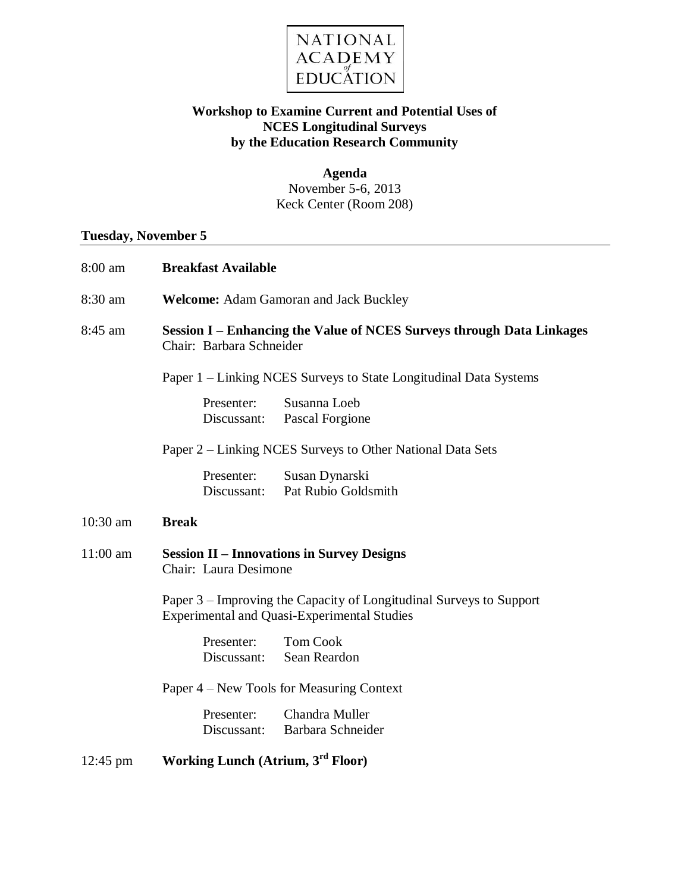

## **Workshop to Examine Current and Potential Uses of NCES Longitudinal Surveys by the Education Research Community**

**Agenda** November 5-6, 2013 Keck Center (Room 208)

## **Tuesday, November 5**

| 8:00 am            | <b>Breakfast Available</b>                                                                                                |  |  |
|--------------------|---------------------------------------------------------------------------------------------------------------------------|--|--|
| 8:30 am            | Welcome: Adam Gamoran and Jack Buckley                                                                                    |  |  |
| 8:45 am            | Session I – Enhancing the Value of NCES Surveys through Data Linkages<br>Chair: Barbara Schneider                         |  |  |
|                    | Paper 1 – Linking NCES Surveys to State Longitudinal Data Systems                                                         |  |  |
|                    | Susanna Loeb<br>Presenter:<br>Pascal Forgione<br>Discussant:                                                              |  |  |
|                    | Paper 2 – Linking NCES Surveys to Other National Data Sets                                                                |  |  |
|                    | Susan Dynarski<br>Presenter:<br>Pat Rubio Goldsmith<br>Discussant:                                                        |  |  |
| $10:30$ am         | <b>Break</b>                                                                                                              |  |  |
| $11:00$ am         | <b>Session II – Innovations in Survey Designs</b><br>Chair: Laura Desimone                                                |  |  |
|                    | Paper 3 – Improving the Capacity of Longitudinal Surveys to Support<br><b>Experimental and Quasi-Experimental Studies</b> |  |  |
|                    | <b>Tom Cook</b><br>Presenter:<br>Sean Reardon<br>Discussant:                                                              |  |  |
|                    | Paper 4 – New Tools for Measuring Context                                                                                 |  |  |
|                    | Chandra Muller<br>Presenter:<br>Barbara Schneider<br>Discussant:                                                          |  |  |
| $12:45 \text{ pm}$ | Working Lunch (Atrium, 3 <sup>rd</sup> Floor)                                                                             |  |  |
|                    |                                                                                                                           |  |  |